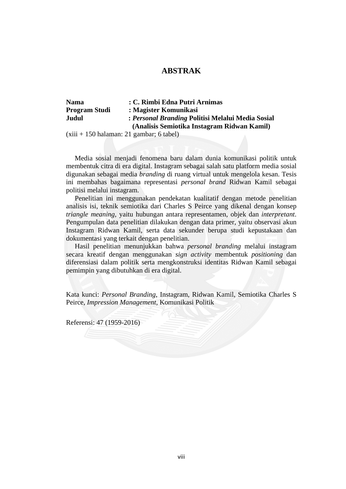## **ABSTRAK**

| <b>Nama</b>          | : C. Rimbi Edna Putri Arnimas                                                                    |
|----------------------|--------------------------------------------------------------------------------------------------|
| <b>Program Studi</b> | : Magister Komunikasi                                                                            |
| Judul                | : Personal Branding Politisi Melalui Media Sosial<br>(Analisis Semiotika Instagram Ridwan Kamil) |

(xiii + 150 halaman: 21 gambar; 6 tabel)

 Media sosial menjadi fenomena baru dalam dunia komunikasi politik untuk membentuk citra di era digital. Instagram sebagai salah satu platform media sosial digunakan sebagai media *branding* di ruang virtual untuk mengelola kesan. Tesis ini membahas bagaimana representasi *personal brand* Ridwan Kamil sebagai politisi melalui instagram.

Penelitian ini menggunakan pendekatan kualitatif dengan metode penelitian analisis isi, teknik semiotika dari Charles S Peirce yang dikenal dengan konsep *triangle meaning*, yaitu hubungan antara representamen, objek dan *interpretant*. Pengumpulan data penelitian dilakukan dengan data primer, yaitu observasi akun Instagram Ridwan Kamil, serta data sekunder berupa studi kepustakaan dan dokumentasi yang terkait dengan penelitian.

 Hasil penelitian menunjukkan bahwa *personal branding* melalui instagram secara kreatif dengan menggunakan *sign activity* membentuk *positioning* dan diferensiasi dalam politik serta mengkonstruksi identitas Ridwan Kamil sebagai pemimpin yang dibutuhkan di era digital.

Kata kunci: *Personal Branding*, Instagram, Ridwan Kamil, Semiotika Charles S Peirce, *Impression Management*, Komunikasi Politik

Referensi: 47 (1959-2016)